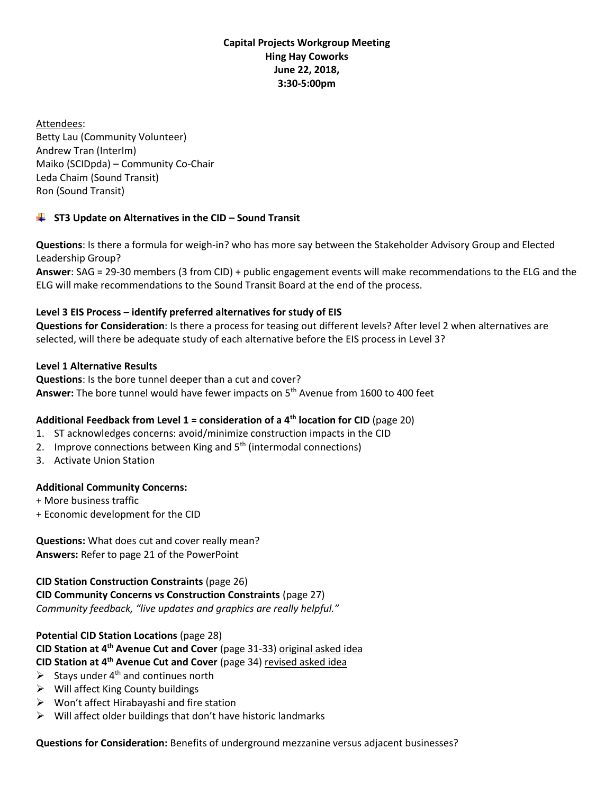## **Capital Projects Workgroup Meeting Hing Hay Coworks June 22, 2018, 3:30-5:00pm**

Attendees: Betty Lau (Community Volunteer) Andrew Tran (InterIm) Maiko (SCIDpda) – Community Co-Chair Leda Chaim (Sound Transit) Ron (Sound Transit)

# **ST3 Update on Alternatives in the CID – Sound Transit**

**Questions**: Is there a formula for weigh-in? who has more say between the Stakeholder Advisory Group and Elected Leadership Group?

**Answer**: SAG = 29-30 members (3 from CID) + public engagement events will make recommendations to the ELG and the ELG will make recommendations to the Sound Transit Board at the end of the process.

# **Level 3 EIS Process – identify preferred alternatives for study of EIS**

**Questions for Consideration:** Is there a process for teasing out different levels? After level 2 when alternatives are selected, will there be adequate study of each alternative before the EIS process in Level 3?

### **Level 1 Alternative Results**

**Questions**: Is the bore tunnel deeper than a cut and cover? **Answer:** The bore tunnel would have fewer impacts on 5th Avenue from 1600 to 400 feet

# **Additional Feedback from Level 1 = consideration of a 4th location for CID** (page 20)

- 1. ST acknowledges concerns: avoid/minimize construction impacts in the CID
- 2. Improve connections between King and  $5<sup>th</sup>$  (intermodal connections)
- 3. Activate Union Station

# **Additional Community Concerns:**

- + More business traffic
- + Economic development for the CID

**Questions:** What does cut and cover really mean? **Answers:** Refer to page 21 of the PowerPoint

**CID Station Construction Constraints** (page 26) **CID Community Concerns vs Construction Constraints** (page 27) *Community feedback, "live updates and graphics are really helpful."*

**Potential CID Station Locations** (page 28) **CID Station at 4th Avenue Cut and Cover** (page 31-33) original asked idea **CID Station at 4th Avenue Cut and Cover** (page 34) revised asked idea

- $\triangleright$  Stays under 4<sup>th</sup> and continues north
- $\triangleright$  Will affect King County buildings
- ➢ Won't affect Hirabayashi and fire station
- $\triangleright$  Will affect older buildings that don't have historic landmarks

**Questions for Consideration:** Benefits of underground mezzanine versus adjacent businesses?